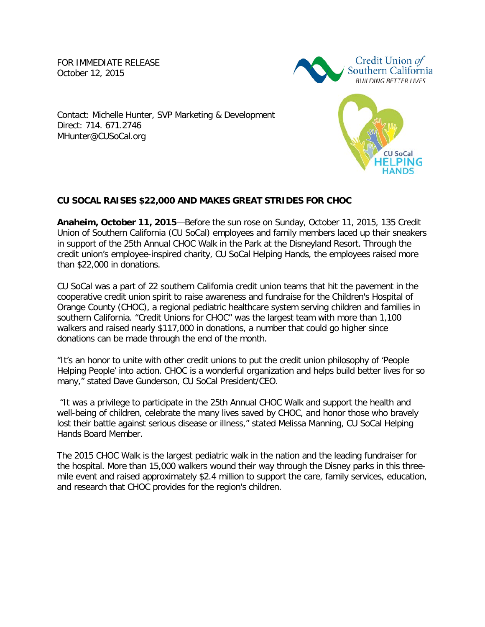FOR IMMEDIATE RELEASE<br>October 12, 2015 October 12, 2015



**CU SoCal** 

 Contact: Michelle Hunter, SVP Marketing & Development Direct: 714. 671.2746 MHunter@CUSoCal.org

## **CU SOCAL RAISES \$22,000 AND MAKES GREAT STRIDES FOR CHOC**

 **Anaheim, October 11, 2015**—Before the sun rose on Sunday, October 11, 2015, 135 Credit Union of Southern California (CU SoCal) employees and family members laced up their sneakers in support of the 25th Annual CHOC Walk in the Park at the Disneyland Resort. Through the credit union's employee-inspired charity, CU SoCal Helping Hands, the employees raised more than \$22,000 in donations.

 CU SoCal was a part of 22 southern California credit union teams that hit the pavement in the cooperative credit union spirit to raise awareness and fundraise for the Children's Hospital of Orange County (CHOC), a regional pediatric healthcare system serving children and families in southern California. "Credit Unions for CHOC" was the largest team with more than 1,100 walkers and raised nearly \$117,000 in donations, a number that could go higher since donations can be made through the end of the month.

 "It's an honor to unite with other credit unions to put the credit union philosophy of 'People Helping People' into action. CHOC is a wonderful organization and helps build better lives for so many," stated Dave Gunderson, CU SoCal President/CEO.

 "It was a privilege to participate in the 25th Annual CHOC Walk and support the health and well-being of children, celebrate the many lives saved by CHOC, and honor those who bravely lost their battle against serious disease or illness," stated Melissa Manning, CU SoCal Helping Hands Board Member.

 The 2015 CHOC Walk is the largest pediatric walk in the nation and the leading fundraiser for the hospital. More than 15,000 walkers wound their way through the Disney parks in this three- mile event and raised approximately \$2.4 million to support the care, family services, education, and research that CHOC provides for the region's children.